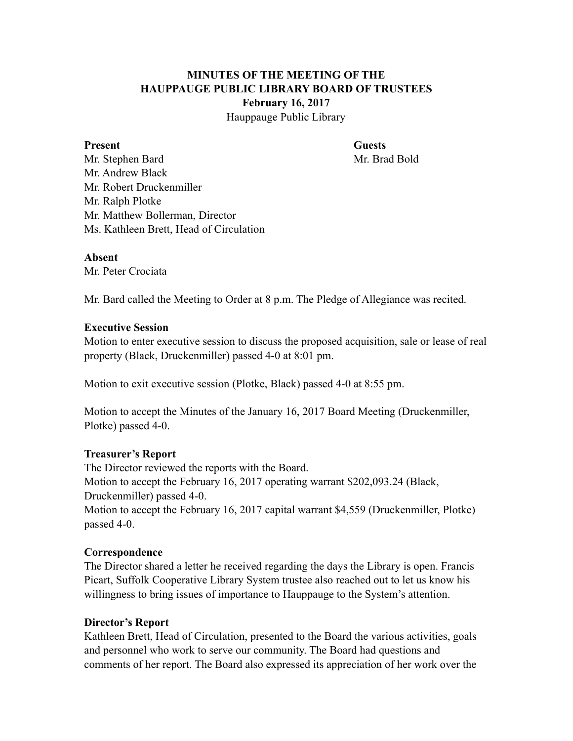# **MINUTES OF THE MEETING OF THE HAUPPAUGE PUBLIC LIBRARY BOARD OF TRUSTEES February 16, 2017** Hauppauge Public Library

#### **Present Guests**

Mr. Stephen Bard Mr. Brad Bold Mr. Andrew Black Mr. Robert Druckenmiller Mr. Ralph Plotke Mr. Matthew Bollerman, Director Ms. Kathleen Brett, Head of Circulation

## **Absent**

Mr. Peter Crociata

Mr. Bard called the Meeting to Order at 8 p.m. The Pledge of Allegiance was recited.

### **Executive Session**

Motion to enter executive session to discuss the proposed acquisition, sale or lease of real property (Black, Druckenmiller) passed 4-0 at 8:01 pm.

Motion to exit executive session (Plotke, Black) passed 4-0 at 8:55 pm.

Motion to accept the Minutes of the January 16, 2017 Board Meeting (Druckenmiller, Plotke) passed 4-0.

### **Treasurer's Report**

The Director reviewed the reports with the Board. Motion to accept the February 16, 2017 operating warrant \$202,093.24 (Black, Druckenmiller) passed 4-0.

Motion to accept the February 16, 2017 capital warrant \$4,559 (Druckenmiller, Plotke) passed 4-0.

### **Correspondence**

The Director shared a letter he received regarding the days the Library is open. Francis Picart, Suffolk Cooperative Library System trustee also reached out to let us know his willingness to bring issues of importance to Hauppauge to the System's attention.

### **Director's Report**

Kathleen Brett, Head of Circulation, presented to the Board the various activities, goals and personnel who work to serve our community. The Board had questions and comments of her report. The Board also expressed its appreciation of her work over the